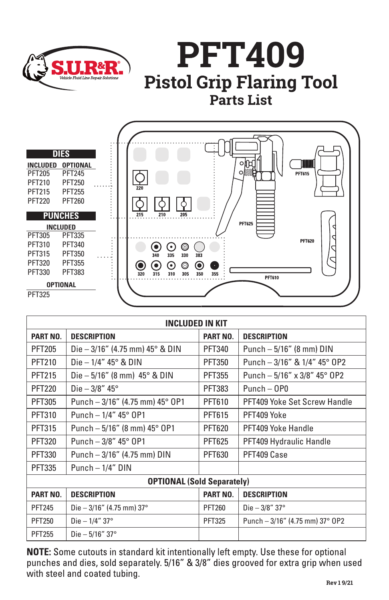





| <b>INCLUDED IN KIT</b>            |                                         |               |                                    |
|-----------------------------------|-----------------------------------------|---------------|------------------------------------|
| <b>PART NO.</b>                   | <b>DESCRIPTION</b>                      | PART NO.      | <b>DESCRIPTION</b>                 |
| <b>PFT205</b>                     | Die $-3/16''$ (4.75 mm) 45° & DIN       | <b>PFT340</b> | Punch $-5/16$ " (8 mm) DIN         |
| <b>PFT210</b>                     | Die $-1/4$ " 45° & DIN                  | <b>PFT350</b> | Punch $-3/16''$ & $1/4''$ 45° OP2  |
| <b>PFT215</b>                     | Die $-5/16''$ (8 mm) $45^{\circ}$ & DIN | <b>PFT355</b> | Punch - $5/16''$ x $3/8''$ 45° 0P2 |
| <b>PFT220</b>                     | Die $-3/8"$ 45°                         | <b>PFT383</b> | $Punch - OPO$                      |
| <b>PFT305</b>                     | Punch $-3/16$ " (4.75 mm) 45° 0P1       | PFT610        | PFT409 Yoke Set Screw Handle       |
| <b>PFT310</b>                     | Punch $-1/4$ " 45° 0P1                  | <b>PFT615</b> | PFT409 Yoke                        |
| <b>PFT315</b>                     | Punch $-5/16$ " (8 mm) 45° OP1          | <b>PFT620</b> | PFT409 Yoke Handle                 |
| <b>PFT320</b>                     | Punch $-3/8$ " 45° 0P1                  | <b>PFT625</b> | PFT409 Hydraulic Handle            |
| PFT330                            | Punch - 3/16" (4.75 mm) DIN             | PFT630        | PFT409 Case                        |
| <b>PFT335</b>                     | Punch $-1/4$ " DIN                      |               |                                    |
| <b>OPTIONAL (Sold Separately)</b> |                                         |               |                                    |
| PART NO.                          | <b>DESCRIPTION</b>                      | PART NO.      | <b>DESCRIPTION</b>                 |
| <b>PFT245</b>                     | Die $-3/16''$ (4.75 mm) 37°             | <b>PFT260</b> | Die $-3/8$ " 37°                   |
| <b>PFT250</b>                     | Die $-1/4$ " 37°                        | <b>PFT325</b> | Punch $-3/16$ " (4.75 mm) 37° OP2  |
| <b>PFT255</b>                     | Die $-5/16"37°$                         |               |                                    |

NOTE: Some cutouts in standard kit intentionally left empty. Use these for optional punches and dies, sold separately. 5/16" & 3/8" dies grooved for extra grip when used with steel and coated tubing.